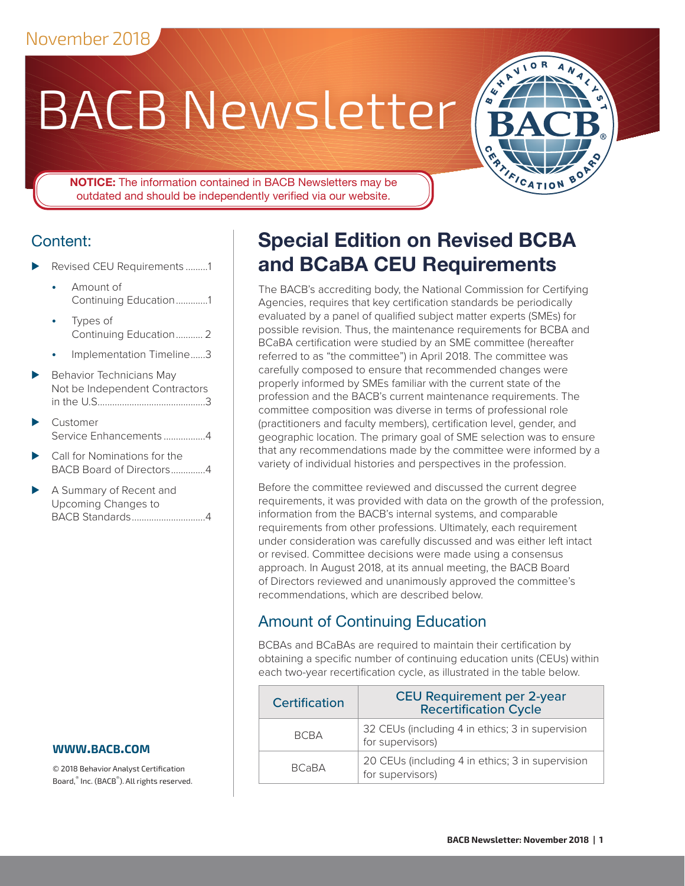# BACB Newsletter



**NOTICE:** The information contained in BACB Newsletters may be outdated and should be independently verified via our website.

## Content:

- Revised CEU Requirements .........1
	- Amount of Continuing Education.............1
	- Types of [Continuing Education...........](#page-1-0) 2
	- [Implementation Timeline......3](#page-2-0)
- Behavior Technicians May [Not be Independent Contractors](#page-2-0) [in the U.S............................................3](#page-2-0)
- ⊲ [Customer](#page-3-0)  [Service Enhancements](#page-3-0) .................4
- ⊲ Call for Nominations for the BACB Board of Directors..............4
- ► A Summary of Recent and [Upcoming Changes to](#page-3-0)  [BACB Standards..............................4](#page-3-0)

#### **www[.bacb.com](http://www.bacb.com)**

© 2018 Behavior Analyst Certification Board,® Inc. (BACB® ). All rights reserved.

## **Special Edition on Revised BCBA and BCaBA CEU Requirements**

The BACB's accrediting body, the National Commission for Certifying Agencies, requires that key certification standards be periodically evaluated by a panel of qualified subject matter experts (SMEs) for possible revision. Thus, the maintenance requirements for BCBA and BCaBA certification were studied by an SME committee (hereafter referred to as "the committee") in April 2018. The committee was carefully composed to ensure that recommended changes were properly informed by SMEs familiar with the current state of the profession and the BACB's current maintenance requirements. The committee composition was diverse in terms of professional role (practitioners and faculty members), certification level, gender, and geographic location. The primary goal of SME selection was to ensure that any recommendations made by the committee were informed by a variety of individual histories and perspectives in the profession.

Before the committee reviewed and discussed the current degree requirements, it was provided with data on the growth of the profession, information from the BACB's internal systems, and comparable requirements from other professions. Ultimately, each requirement under consideration was carefully discussed and was either left intact or revised. Committee decisions were made using a consensus approach. In August 2018, at its annual meeting, the BACB Board of Directors reviewed and unanimously approved the committee's recommendations, which are described below.

## Amount of Continuing Education

BCBAs and BCaBAs are required to maintain their certification by obtaining a specific number of continuing education units (CEUs) within each two-year recertification cycle, as illustrated in the table below.

| <b>Certification</b> | <b>CEU Requirement per 2-year</b><br><b>Recertification Cycle</b>    |
|----------------------|----------------------------------------------------------------------|
| <b>BCBA</b>          | 32 CEUs (including 4 in ethics; 3 in supervision<br>for supervisors) |
| <b>BCaBA</b>         | 20 CEUs (including 4 in ethics; 3 in supervision<br>for supervisors) |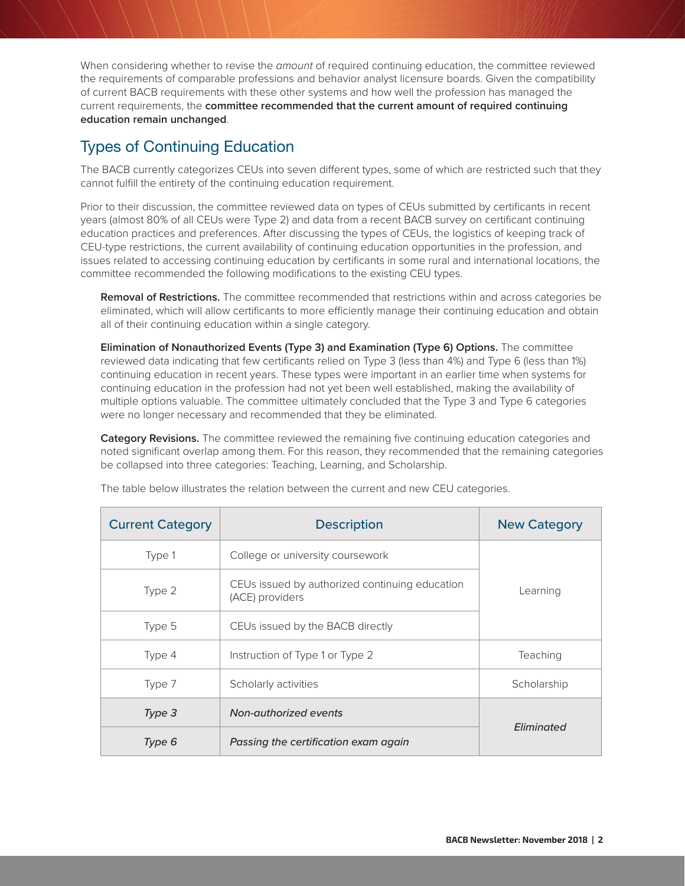<span id="page-1-0"></span>When considering whether to revise the *amount* of required continuing education, the committee reviewed the requirements of comparable professions and behavior analyst licensure boards. Given the compatibility of current BACB requirements with these other systems and how well the profession has managed the current requirements, the **committee recommended that the current amount of required continuing education remain unchanged**.

### Types of Continuing Education

The BACB currently categorizes CEUs into seven different types, some of which are restricted such that they cannot fulfill the entirety of the continuing education requirement.

Prior to their discussion, the committee reviewed data on types of CEUs submitted by certificants in recent years (almost 80% of all CEUs were Type 2) and data from a recent BACB survey on certificant continuing education practices and preferences. After discussing the types of CEUs, the logistics of keeping track of CEU-type restrictions, the current availability of continuing education opportunities in the profession, and issues related to accessing continuing education by certificants in some rural and international locations, the committee recommended the following modifications to the existing CEU types.

**Removal of Restrictions.** The committee recommended that restrictions within and across categories be eliminated, which will allow certificants to more efficiently manage their continuing education and obtain all of their continuing education within a single category.

**Elimination of Nonauthorized Events (Type 3) and Examination (Type 6) Options.** The committee reviewed data indicating that few certificants relied on Type 3 (less than 4%) and Type 6 (less than 1%) continuing education in recent years. These types were important in an earlier time when systems for continuing education in the profession had not yet been well established, making the availability of multiple options valuable. The committee ultimately concluded that the Type 3 and Type 6 categories were no longer necessary and recommended that they be eliminated.

**Category Revisions.** The committee reviewed the remaining five continuing education categories and noted significant overlap among them. For this reason, they recommended that the remaining categories be collapsed into three categories: Teaching, Learning, and Scholarship.

| <b>Current Category</b> | <b>Description</b>                                                | <b>New Category</b> |  |
|-------------------------|-------------------------------------------------------------------|---------------------|--|
| Type 1                  | College or university coursework                                  |                     |  |
| Type 2                  | CEUs issued by authorized continuing education<br>(ACE) providers | Learning            |  |
| Type 5                  | CEUs issued by the BACB directly                                  |                     |  |
| Type 4                  | Instruction of Type 1 or Type 2                                   | Teaching            |  |
| Type 7                  | Scholarly activities                                              | Scholarship         |  |
| Type 3                  | Non-authorized events                                             |                     |  |
| Type 6                  | Passing the certification exam again                              | Eliminated          |  |

The table below illustrates the relation between the current and new CEU categories.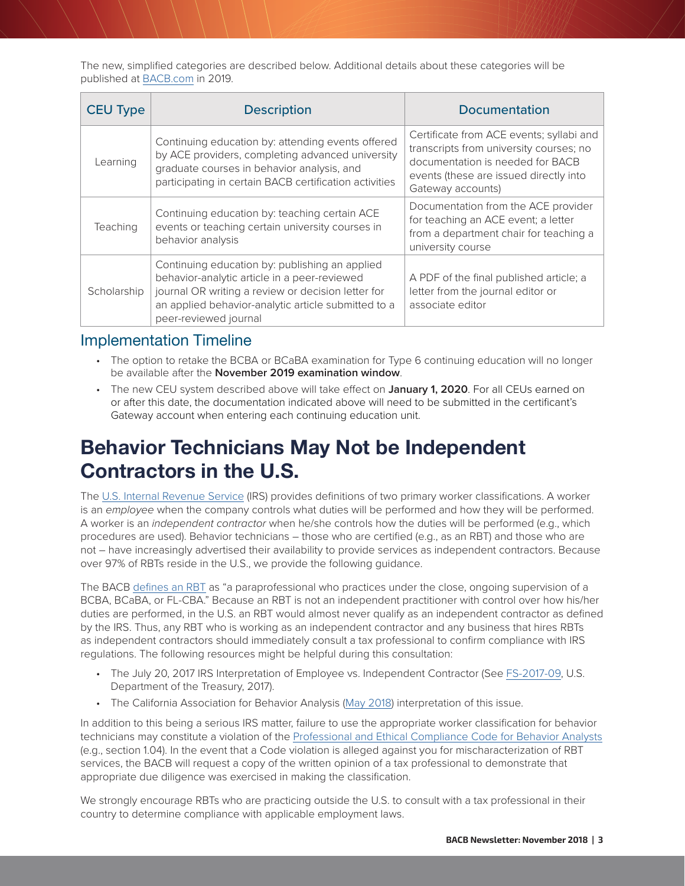<span id="page-2-0"></span>The new, simplified categories are described below. Additional details about these categories will be published at [BACB.com](http://www.bacb.com) in 2019.

| <b>CEU Type</b> | <b>Description</b>                                                                                                                                                                                                                   | <b>Documentation</b>                                                                                                                                                                   |  |
|-----------------|--------------------------------------------------------------------------------------------------------------------------------------------------------------------------------------------------------------------------------------|----------------------------------------------------------------------------------------------------------------------------------------------------------------------------------------|--|
| Learning        | Continuing education by: attending events offered<br>by ACE providers, completing advanced university<br>graduate courses in behavior analysis, and<br>participating in certain BACB certification activities                        | Certificate from ACE events; syllabi and<br>transcripts from university courses; no<br>documentation is needed for BACB<br>events (these are issued directly into<br>Gateway accounts) |  |
| Teaching        | Continuing education by: teaching certain ACE<br>events or teaching certain university courses in<br>behavior analysis                                                                                                               | Documentation from the ACE provider<br>for teaching an ACE event; a letter<br>from a department chair for teaching a<br>university course                                              |  |
| Scholarship     | Continuing education by: publishing an applied<br>behavior-analytic article in a peer-reviewed<br>journal OR writing a review or decision letter for<br>an applied behavior-analytic article submitted to a<br>peer-reviewed journal | A PDF of the final published article; a<br>letter from the journal editor or<br>associate editor                                                                                       |  |

#### Implementation Timeline

- The option to retake the BCBA or BCaBA examination for Type 6 continuing education will no longer be available after the **November 2019 examination window**.
- The new CEU system described above will take effect on **January 1, 2020**. For all CEUs earned on or after this date, the documentation indicated above will need to be submitted in the certificant's Gateway account when entering each continuing education unit.

## **Behavior Technicians May Not be Independent Contractors in the U.S.**

The [U.S. Internal Revenue Service](https://www.irs.gov/businesses/small-businesses-self-employed/independent-contractor-self-employed-or-employee) (IRS) provides definitions of two primary worker classifications. A worker is an *employee* when the company controls what duties will be performed and how they will be performed. A worker is an *independent contractor* when he/she controls how the duties will be performed (e.g., which procedures are used). Behavior technicians – those who are certified (e.g., as an RBT) and those who are not – have increasingly advertised their availability to provide services as independent contractors. Because over 97% of RBTs reside in the U.S., we provide the following guidance.

The BACB [defines an RBT](https://www.bacb.com/rbt/) as "a paraprofessional who practices under the close, ongoing supervision of a BCBA, BCaBA, or FL-CBA." Because an RBT is not an independent practitioner with control over how his/her duties are performed, in the U.S. an RBT would almost never qualify as an independent contractor as defined by the IRS. Thus, any RBT who is working as an independent contractor and any business that hires RBTs as independent contractors should immediately consult a tax professional to confirm compliance with IRS regulations. The following resources might be helpful during this consultation:

- The July 20, 2017 IRS Interpretation of Employee vs. Independent Contractor (See [FS-2017-09](https://www.irs.gov/newsroom/understanding-employee-vs-contractor-designation), U.S. Department of the Treasury, 2017).
- The California Association for Behavior Analysis ([May 2018\)](https://mailchi.mp/calaba/so-much-news?e=3ca0f2d2a0) interpretation of this issue.

In addition to this being a serious IRS matter, failure to use the appropriate worker classification for behavior technicians may constitute a violation of the [Professional and Ethical Compliance Code for Behavior Analysts](https://www.bacb.com/ethics/ethics-code/) (e.g., section 1.04). In the event that a Code violation is alleged against you for mischaracterization of RBT services, the BACB will request a copy of the written opinion of a tax professional to demonstrate that appropriate due diligence was exercised in making the classification.

We strongly encourage RBTs who are practicing outside the U.S. to consult with a tax professional in their country to determine compliance with applicable employment laws.